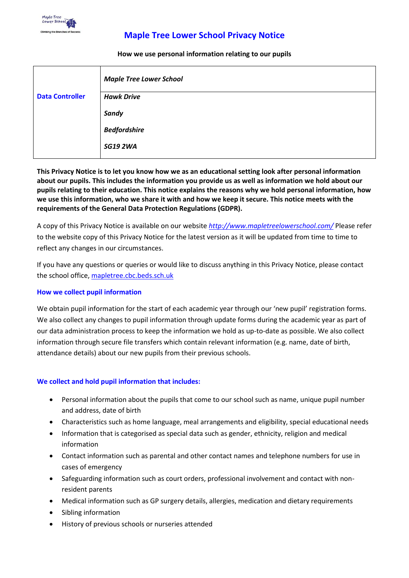

# **Maple Tree Lower School Privacy Notice**

#### **How we use personal information relating to our pupils**

|                        | <b>Maple Tree Lower School</b> |
|------------------------|--------------------------------|
| <b>Data Controller</b> | <b>Hawk Drive</b>              |
|                        | Sandy                          |
|                        | <b>Bedfordshire</b>            |
|                        | <b>SG19 2WA</b>                |

**This Privacy Notice is to let you know how we as an educational setting look after personal information about our pupils. This includes the information you provide us as well as information we hold about our pupils relating to their education. This notice explains the reasons why we hold personal information, how we use this information, who we share it with and how we keep it secure. This notice meets with the requirements of the General Data Protection Regulations (GDPR).**

A copy of this Privacy Notice is available on our website *<http://www.mapletreelowerschool.com/>* Please refer to the website copy of this Privacy Notice for the latest version as it will be updated from time to time to reflect any changes in our circumstances.

If you have any questions or queries or would like to discuss anything in this Privacy Notice, please contact the school office,<mapletree.cbc.beds.sch.uk>

#### **How we collect pupil information**

We obtain pupil information for the start of each academic year through our 'new pupil' registration forms. We also collect any changes to pupil information through update forms during the academic year as part of our data administration process to keep the information we hold as up-to-date as possible. We also collect information through secure file transfers which contain relevant information (e.g. name, date of birth, attendance details) about our new pupils from their previous schools.

#### **We collect and hold pupil information that includes:**

- Personal information about the pupils that come to our school such as name, unique pupil number and address, date of birth
- Characteristics such as home language, meal arrangements and eligibility, special educational needs
- Information that is categorised as special data such as gender, ethnicity, religion and medical information
- Contact information such as parental and other contact names and telephone numbers for use in cases of emergency
- Safeguarding information such as court orders, professional involvement and contact with nonresident parents
- Medical information such as GP surgery details, allergies, medication and dietary requirements
- Sibling information
- History of previous schools or nurseries attended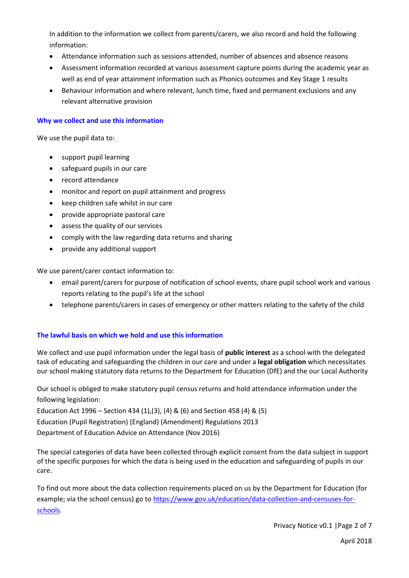In addition to the information we collect from parents/carers, we also record and hold the following information:

- Attendance information such as sessions attended, number of absences and absence reasons
- Assessment information recorded at various assessment capture points during the academic year as well as end of year attainment information such as Phonics outcomes and Key Stage 1 results
- Behaviour information and where relevant, lunch time, fixed and permanent exclusions and any relevant alternative provision

### **Why we collect and use this information**

We use the pupil data to:

- support pupil learning
- safeguard pupils in our care
- record attendance
- monitor and report on pupil attainment and progress
- keep children safe whilst in our care
- provide appropriate pastoral care
- assess the quality of our services
- comply with the law regarding data returns and sharing
- provide any additional support

We use parent/carer contact information to:

- email parent/carers for purpose of notification of school events, share pupil school work and various reports relating to the pupil's life at the school
- telephone parents/carers in cases of emergency or other matters relating to the safety of the child

#### **The lawful basis on which we hold and use this information**

We collect and use pupil information under the legal basis of **public interest** as a school with the delegated task of educating and safeguarding the children in our care and under a **legal obligation** which necessitates our school making statutory data returns to the Department for Education (DfE) and the our Local Authority

Our school is obliged to make statutory pupil census returns and hold attendance information under the following legislation:

Education Act 1996 – Section 434 (1),(3), (4) & (6) and Section 458 (4) & (5) Education (Pupil Registration) (England) (Amendment) Regulations 2013 Department of Education Advice on Attendance (Nov 2016)

The special categories of data have been collected through explicit consent from the data subject in support of the specific purposes for which the data is being used in the education and safeguarding of pupils in our care.

To find out more about the data collection requirements placed on us by the Department for Education (for example; via the school census) go to [https://www.gov.uk/education/data-collection-and-censuses-for](https://www.gov.uk/education/data-collection-and-censuses-for-schools)[schools.](https://www.gov.uk/education/data-collection-and-censuses-for-schools)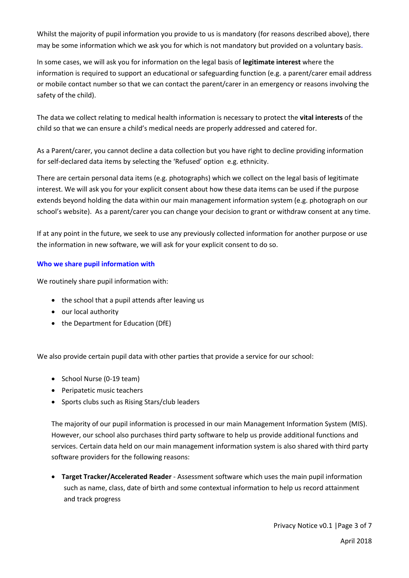Whilst the majority of pupil information you provide to us is mandatory (for reasons described above), there may be some information which we ask you for which is not mandatory but provided on a voluntary basis.

In some cases, we will ask you for information on the legal basis of **legitimate interest** where the information is required to support an educational or safeguarding function (e.g. a parent/carer email address or mobile contact number so that we can contact the parent/carer in an emergency or reasons involving the safety of the child).

The data we collect relating to medical health information is necessary to protect the **vital interests** of the child so that we can ensure a child's medical needs are properly addressed and catered for.

As a Parent/carer, you cannot decline a data collection but you have right to decline providing information for self-declared data items by selecting the 'Refused' option e.g. ethnicity.

There are certain personal data items (e.g. photographs) which we collect on the legal basis of legitimate interest. We will ask you for your explicit consent about how these data items can be used if the purpose extends beyond holding the data within our main management information system (e.g. photograph on our school's website). As a parent/carer you can change your decision to grant or withdraw consent at any time.

If at any point in the future, we seek to use any previously collected information for another purpose or use the information in new software, we will ask for your explicit consent to do so.

### **Who we share pupil information with**

We routinely share pupil information with:

- the school that a pupil attends after leaving us
- our local authority
- the Department for Education (DfE)

We also provide certain pupil data with other parties that provide a service for our school:

- School Nurse (0-19 team)
- Peripatetic music teachers
- Sports clubs such as Rising Stars/club leaders

The majority of our pupil information is processed in our main Management Information System (MIS). However, our school also purchases third party software to help us provide additional functions and services. Certain data held on our main management information system is also shared with third party software providers for the following reasons:

 **Target Tracker/Accelerated Reader** - Assessment software which uses the main pupil information such as name, class, date of birth and some contextual information to help us record attainment and track progress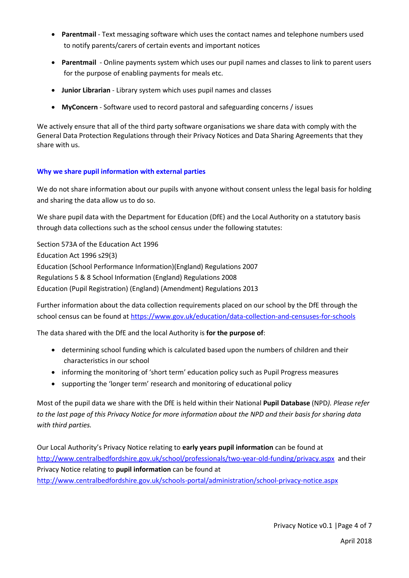- **Parentmail** Text messaging software which uses the contact names and telephone numbers used to notify parents/carers of certain events and important notices
- **Parentmail** Online payments system which uses our pupil names and classes to link to parent users for the purpose of enabling payments for meals etc.
- **Junior Librarian** Library system which uses pupil names and classes
- **MyConcern**  Software used to record pastoral and safeguarding concerns / issues

We actively ensure that all of the third party software organisations we share data with comply with the General Data Protection Regulations through their Privacy Notices and Data Sharing Agreements that they share with us.

### **Why we share pupil information with external parties**

We do not share information about our pupils with anyone without consent unless the legal basis for holding and sharing the data allow us to do so.

We share pupil data with the Department for Education (DfE) and the Local Authority on a statutory basis through data collections such as the school census under the following statutes:

Section 573A of the Education Act 1996 Education Act 1996 s29(3) Education (School Performance Information)(England) Regulations 2007 Regulations 5 & 8 School Information (England) Regulations 2008 Education (Pupil Registration) (England) (Amendment) Regulations 2013

Further information about the data collection requirements placed on our school by the DfE through the school census can be found at<https://www.gov.uk/education/data-collection-and-censuses-for-schools>

The data shared with the DfE and the local Authority is **for the purpose of**:

- determining school funding which is calculated based upon the numbers of children and their characteristics in our school
- informing the monitoring of 'short term' education policy such as Pupil Progress measures
- supporting the 'longer term' research and monitoring of educational policy

Most of the pupil data we share with the DfE is held within their National **Pupil Database** (NPD*). Please refer to the last page of this Privacy Notice for more information about the NPD and their basis for sharing data with third parties.*

Our Local Authority's Privacy Notice relating to **early years pupil information** can be found at <http://www.centralbedfordshire.gov.uk/school/professionals/two-year-old-funding/privacy.aspx> and their Privacy Notice relating to **pupil information** can be found at <http://www.centralbedfordshire.gov.uk/schools-portal/administration/school-privacy-notice.aspx>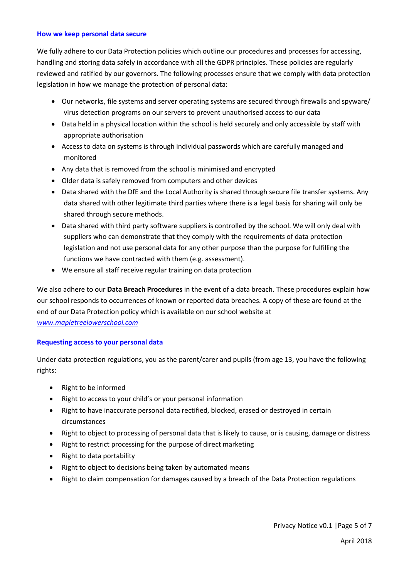#### **How we keep personal data secure**

We fully adhere to our Data Protection policies which outline our procedures and processes for accessing, handling and storing data safely in accordance with all the GDPR principles. These policies are regularly reviewed and ratified by our governors. The following processes ensure that we comply with data protection legislation in how we manage the protection of personal data:

- Our networks, file systems and server operating systems are secured through firewalls and spyware/ virus detection programs on our servers to prevent unauthorised access to our data
- Data held in a physical location within the school is held securely and only accessible by staff with appropriate authorisation
- Access to data on systems is through individual passwords which are carefully managed and monitored
- Any data that is removed from the school is minimised and encrypted
- Older data is safely removed from computers and other devices
- Data shared with the DfE and the Local Authority is shared through secure file transfer systems. Any data shared with other legitimate third parties where there is a legal basis for sharing will only be shared through secure methods.
- Data shared with third party software suppliers is controlled by the school. We will only deal with suppliers who can demonstrate that they comply with the requirements of data protection legislation and not use personal data for any other purpose than the purpose for fulfilling the functions we have contracted with them (e.g. assessment).
- We ensure all staff receive regular training on data protection

We also adhere to our **Data Breach Procedures** in the event of a data breach. These procedures explain how our school responds to occurrences of known or reported data breaches. A copy of these are found at the end of our Data Protection policy which is available on our school website at *[www.mapletreelowerschool.com](http://www.mapletreelowerschool.com/)*

### **Requesting access to your personal data**

Under data protection regulations, you as the parent/carer and pupils (from age 13, you have the following rights:

- Right to be informed
- Right to access to your child's or your personal information
- Right to have inaccurate personal data rectified, blocked, erased or destroyed in certain circumstances
- Right to object to processing of personal data that is likely to cause, or is causing, damage or distress
- Right to restrict processing for the purpose of direct marketing
- Right to data portability
- Right to object to decisions being taken by automated means
- Right to claim compensation for damages caused by a breach of the Data Protection regulations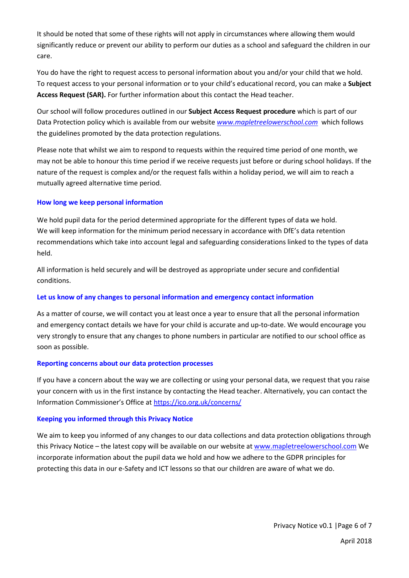It should be noted that some of these rights will not apply in circumstances where allowing them would significantly reduce or prevent our ability to perform our duties as a school and safeguard the children in our care.

You do have the right to request access to personal information about you and/or your child that we hold. To request access to your personal information or to your child's educational record, you can make a **Subject Access Request (SAR).** For further information about this contact the Head teacher.

Our school will follow procedures outlined in our **Subject Access Request procedure** which is part of our Data Protection policy which is available from our website *[www.mapletreelowerschool.com](http://www.mapletreelowerschool.com/)* which follows the guidelines promoted by the data protection regulations.

Please note that whilst we aim to respond to requests within the required time period of one month, we may not be able to honour this time period if we receive requests just before or during school holidays. If the nature of the request is complex and/or the request falls within a holiday period, we will aim to reach a mutually agreed alternative time period.

### **How long we keep personal information**

We hold pupil data for the period determined appropriate for the different types of data we hold. We will keep information for the minimum period necessary in accordance with DfE's data retention recommendations which take into account legal and safeguarding considerations linked to the types of data held.

All information is held securely and will be destroyed as appropriate under secure and confidential conditions.

#### **Let us know of any changes to personal information and emergency contact information**

As a matter of course, we will contact you at least once a year to ensure that all the personal information and emergency contact details we have for your child is accurate and up-to-date. We would encourage you very strongly to ensure that any changes to phone numbers in particular are notified to our school office as soon as possible.

#### **Reporting concerns about our data protection processes**

If you have a concern about the way we are collecting or using your personal data, we request that you raise your concern with us in the first instance by contacting the Head teacher. Alternatively, you can contact the Information Commissioner's Office at <https://ico.org.uk/concerns/>

#### **Keeping you informed through this Privacy Notice**

We aim to keep you informed of any changes to our data collections and data protection obligations through this Privacy Notice – the latest copy will be available on our website at [www.mapletreelowerschool.com](http://www.mapletreelowerschool.com/) We incorporate information about the pupil data we hold and how we adhere to the GDPR principles for protecting this data in our e-Safety and ICT lessons so that our children are aware of what we do.